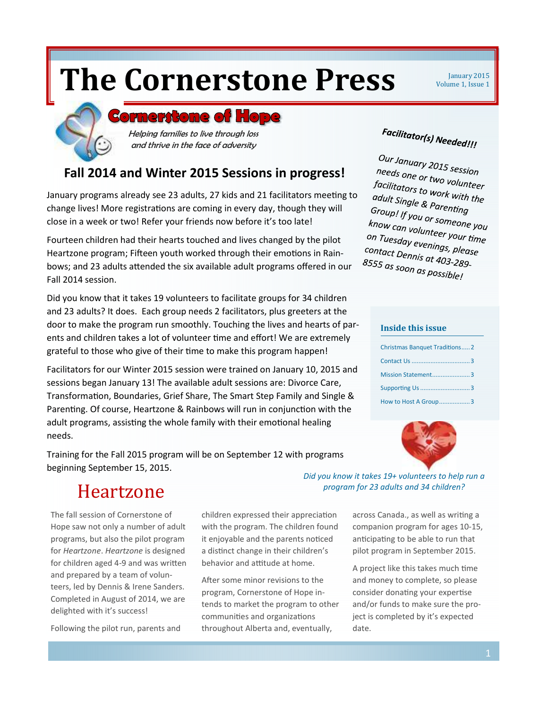# **The Cornerstone Press**  $\frac{1}{\text{Volume 1, Issue 1}}$

Volume 1, Issue 1

### **Cornerstone of Hope**

Helping families to live through loss and thrive in the face of adversity

### **Fall 2014 and Winter 2015 Sessions in progress!**

January programs already see 23 adults, 27 kids and 21 facilitators meeting to change lives! More registrations are coming in every day, though they will close in a week or two! Refer your friends now before it's too late!

Fourteen children had their hearts touched and lives changed by the pilot Heartzone program; Fifteen youth worked through their emotions in Rainbows; and 23 adults attended the six available adult programs offered in our Fall 2014 session.

Did you know that it takes 19 volunteers to facilitate groups for 34 children and 23 adults? It does. Each group needs 2 facilitators, plus greeters at the door to make the program run smoothly. Touching the lives and hearts of parents and children takes a lot of volunteer time and effort! We are extremely grateful to those who give of their time to make this program happen!

Facilitators for our Winter 2015 session were trained on January 10, 2015 and sessions began January 13! The available adult sessions are: Divorce Care, Transformation, Boundaries, Grief Share, The Smart Step Family and Single & Parenting. Of course, Heartzone & Rainbows will run in conjunction with the adult programs, assisting the whole family with their emotional healing needs.

Training for the Fall 2015 program will be on September 12 with programs beginning September 15, 2015.

# Facilitator(s) Needed!!!

Our January 2015 session<br>needs one or t needs one or two volunteer<br>facilitators to un volunteer facilitators to work with the<br>adult Single & part with the adult Single & Parenting<br>Group! If you Group! If you or someone you<br>Know can volunteer. *know cap: If you or someone you*<br>know can volunteer your time<br>on Tuesday evenings on Tuesday evenings, please<br>Contact Dennis at 102.5 please<br>Contact Dennis at 102.5 contact Dennis at 403-289-<br>8555 as soon at 403-289-8555 as soon as possible!

#### **Inside this issue**

| <b>Christmas Banquet Traditions2</b> |
|--------------------------------------|
|                                      |
| Mission Statement3                   |
| Supporting Us 3                      |
| How to Host A Group3                 |



## Heartzone

The fall session of Cornerstone of Hope saw not only a number of adult programs, but also the pilot program for *Heartzone*. *Heartzone* is designed for children aged 4-9 and was written and prepared by a team of volunteers, led by Dennis & Irene Sanders. Completed in August of 2014, we are delighted with it's success!

Following the pilot run, parents and

children expressed their appreciation with the program. The children found it enjoyable and the parents noticed a distinct change in their children's behavior and attitude at home.

After some minor revisions to the program, Cornerstone of Hope intends to market the program to other communities and organizations throughout Alberta and, eventually,

*Did you know it takes 19+ volunteers to help run a program for 23 adults and 34 children?* 

> across Canada., as well as writing a companion program for ages 10-15, anticipating to be able to run that pilot program in September 2015.

A project like this takes much time and money to complete, so please consider donating your expertise and/or funds to make sure the project is completed by it's expected date.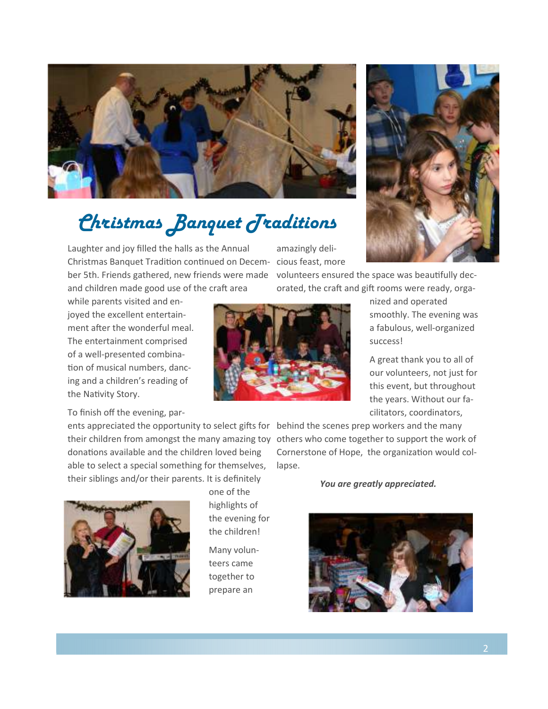

# *Christmas Banquet Traditions*

Laughter and joy filled the halls as the Annual Christmas Banquet Tradition continued on Decem- cious feast, more ber 5th. Friends gathered, new friends were made and children made good use of the craft area

while parents visited and enjoyed the excellent entertainment after the wonderful meal. The entertainment comprised of a well-presented combina tion of musical numbers, dancing and a children's reading of the Nativity Story.

### To finish off the evening, par-

ents appreciated the opportunity to select gifts for behind the scenes prep workers and the many their children from amongst the many amazing toy others who come together to support the work of donations available and the children loved being able to select a special something for themselves, their siblings and/or their parents. It is definitely



one of the highlights of the evening for the children!

Many volunteers came together to prepare an

amazingly deli-

volunteers ensured the space was beautifully decorated, the craft and gift rooms were ready, orga-



nized and operated smoothly. The evening was a fabulous, well-organized success!

A great thank you to all of our volunteers, not just for this event, but throughout the years. Without our facilitators, coordinators,

Cornerstone of Hope, the organization would collapse.

*You are greatly appreciated.*